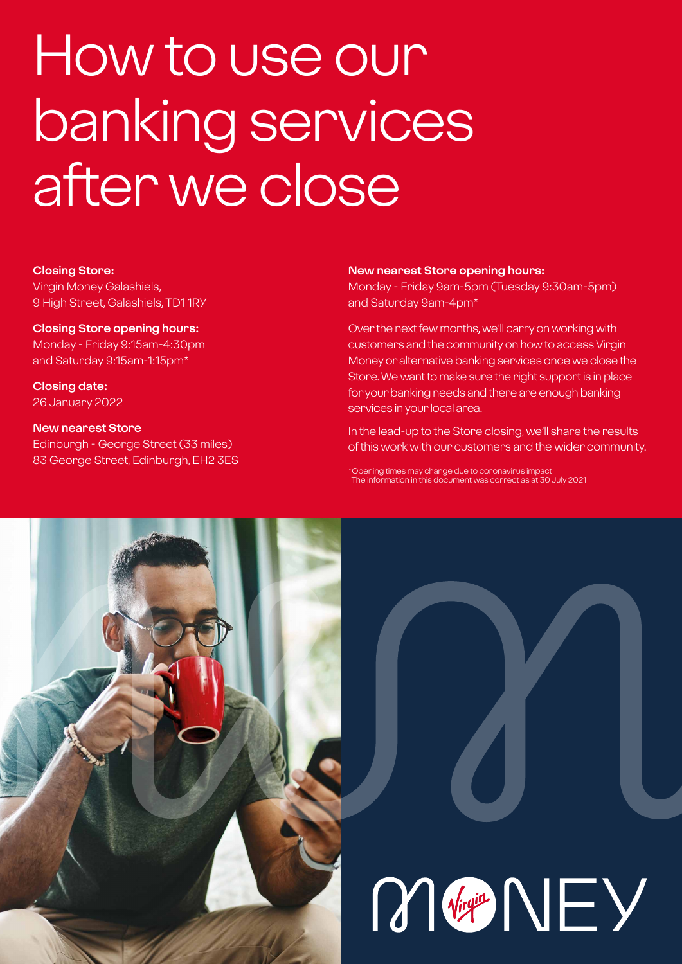# How to use our banking services after we close

#### **Closing Store:**

Virgin Money Galashiels, 9 High Street, Galashiels, TD1 1RY

#### **Closing Store opening hours:**

Monday - Friday 9:15am-4:30pm and Saturday 9:15am-1:15pm\*

**Closing date:**  26 January 2022

## **New nearest Store**

Edinburgh - George Street (33 miles) 83 George Street, Edinburgh, EH2 3ES

#### **New nearest Store opening hours:**

Monday - Friday 9am-5pm (Tuesday 9:30am-5pm) and Saturday 9am-4pm\*

Over the next few months, we'll carry on working with customers and the community on how to access Virgin Money or alternative banking services once we close the Store. We want to make sure the right support is in place for your banking needs and there are enough banking services in your local area.

In the lead-up to the Store closing, we'll share the results of this work with our customers and the wider community.

\*Opening times may change due to coronavirus impact The information in this document was correct as at 30 July 2021

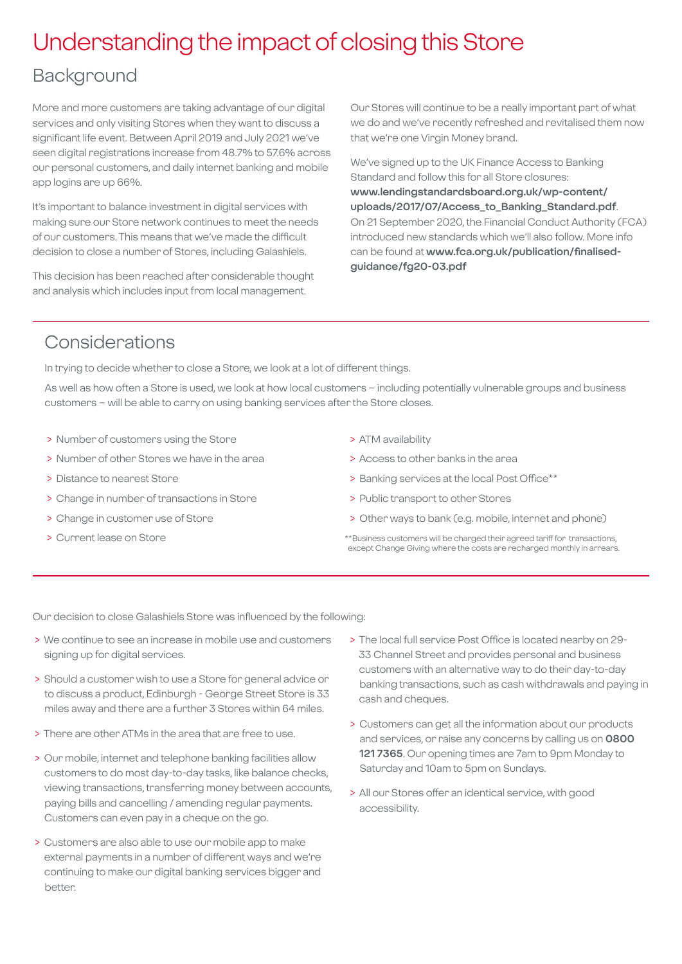## Understanding the impact of closing this Store

## **Background**

More and more customers are taking advantage of our digital services and only visiting Stores when they want to discuss a significant life event. Between April 2019 and July 2021 we've seen digital registrations increase from 48.7% to 57.6% across our personal customers, and daily internet banking and mobile app logins are up 66%.

It's important to balance investment in digital services with making sure our Store network continues to meet the needs of our customers. This means that we've made the difficult decision to close a number of Stores, including Galashiels.

This decision has been reached after considerable thought and analysis which includes input from local management.

Our Stores will continue to be a really important part of what we do and we've recently refreshed and revitalised them now that we're one Virgin Money brand.

We've signed up to the UK Finance Access to Banking Standard and follow this for all Store closures: **[www.lendingstandardsboard.org.uk/wp-content/](http://www.lendingstandardsboard.org.uk/wp-content/uploads/2017/07/Access_to_Banking_Standard.pdf) [uploads/2017/07/Access\\_to\\_Banking\\_Standard.pdf](http://www.lendingstandardsboard.org.uk/wp-content/uploads/2017/07/Access_to_Banking_Standard.pdf)**. On 21 September 2020, the Financial Conduct Authority (FCA) introduced new standards which we'll also follow. More info can be found at **[www.fca.org.uk/publication/finalised](http://www.fca.org.uk/publication/finalised-guidance/fg20-03.pdf)[guidance/fg20-03.pdf](http://www.fca.org.uk/publication/finalised-guidance/fg20-03.pdf)**

## Considerations

In trying to decide whether to close a Store, we look at a lot of different things.

As well as how often a Store is used, we look at how local customers – including potentially vulnerable groups and business customers – will be able to carry on using banking services after the Store closes.

- > Number of customers using the Store
- > Number of other Stores we have in the area
- > Distance to nearest Store
- > Change in number of transactions in Store
- > Change in customer use of Store
- > Current lease on Store
- > ATM availability
- > Access to other banks in the area
- > Banking services at the local Post Office\*\*
- > Public transport to other Stores
- > Other ways to bank (e.g. mobile, internet and phone)
- \*\*Business customers will be charged their agreed tariff for transactions, except Change Giving where the costs are recharged monthly in arrears.

Our decision to close Galashiels Store was influenced by the following:

- > We continue to see an increase in mobile use and customers signing up for digital services.
- > Should a customer wish to use a Store for general advice or to discuss a product, Edinburgh - George Street Store is 33 miles away and there are a further 3 Stores within 64 miles.
- > There are other ATMs in the area that are free to use.
- > Our mobile, internet and telephone banking facilities allow customers to do most day-to-day tasks, like balance checks, viewing transactions, transferring money between accounts, paying bills and cancelling / amending regular payments. Customers can even pay in a cheque on the go.
- > Customers are also able to use our mobile app to make external payments in a number of different ways and we're continuing to make our digital banking services bigger and better.
- > The local full service Post Office is located nearby on 29- 33 Channel Street and provides personal and business customers with an alternative way to do their day-to-day banking transactions, such as cash withdrawals and paying in cash and cheques.
- > Customers can get all the information about our products and services, or raise any concerns by calling us on **0800 121 7365**. Our opening times are 7am to 9pm Monday to Saturday and 10am to 5pm on Sundays.
- > All our Stores offer an identical service, with good accessibility.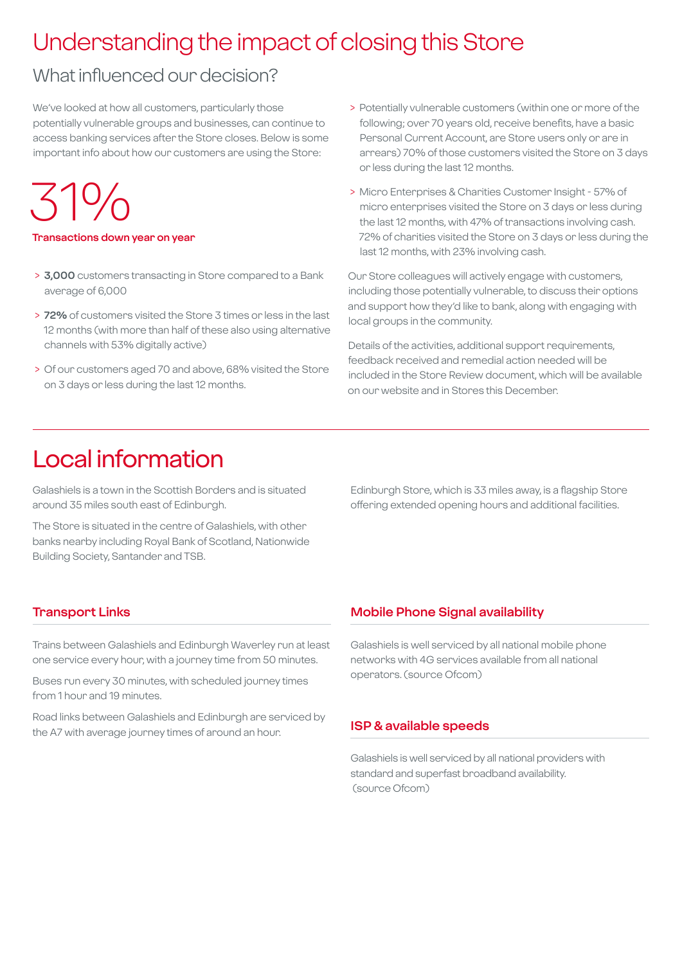# Understanding the impact of closing this Store

## What influenced our decision?

We've looked at how all customers, particularly those potentially vulnerable groups and businesses, can continue to access banking services after the Store closes. Below is some important info about how our customers are using the Store:

# 31%

#### **Transactions down year on year**

- > **3,000** customers transacting in Store compared to a Bank average of 6,000
- > **72%** of customers visited the Store 3 times or less in the last 12 months (with more than half of these also using alternative channels with 53% digitally active)
- > Of our customers aged 70 and above, 68% visited the Store on 3 days or less during the last 12 months.
- > Potentially vulnerable customers (within one or more of the following; over 70 years old, receive benefits, have a basic Personal Current Account, are Store users only or are in arrears) 70% of those customers visited the Store on 3 days or less during the last 12 months.
- > Micro Enterprises & Charities Customer Insight 57% of micro enterprises visited the Store on 3 days or less during the last 12 months, with 47% of transactions involving cash. 72% of charities visited the Store on 3 days or less during the last 12 months, with 23% involving cash.

Our Store colleagues will actively engage with customers, including those potentially vulnerable, to discuss their options and support how they'd like to bank, along with engaging with local groups in the community.

Details of the activities, additional support requirements, feedback received and remedial action needed will be included in the Store Review document, which will be available on our website and in Stores this December.

# Local information

Galashiels is a town in the Scottish Borders and is situated around 35 miles south east of Edinburgh.

The Store is situated in the centre of Galashiels, with other banks nearby including Royal Bank of Scotland, Nationwide Building Society, Santander and TSB.

Edinburgh Store, which is 33 miles away, is a flagship Store offering extended opening hours and additional facilities.

#### **Transport Links**

Trains between Galashiels and Edinburgh Waverley run at least one service every hour, with a journey time from 50 minutes.

Buses run every 30 minutes, with scheduled journey times from 1 hour and 19 minutes.

Road links between Galashiels and Edinburgh are serviced by the A7 with average journey times of around an hour.

#### **Mobile Phone Signal availability**

Galashiels is well serviced by all national mobile phone networks with 4G services available from all national operators. (source Ofcom)

#### **ISP & available speeds**

Galashiels is well serviced by all national providers with standard and superfast broadband availability. (source Ofcom)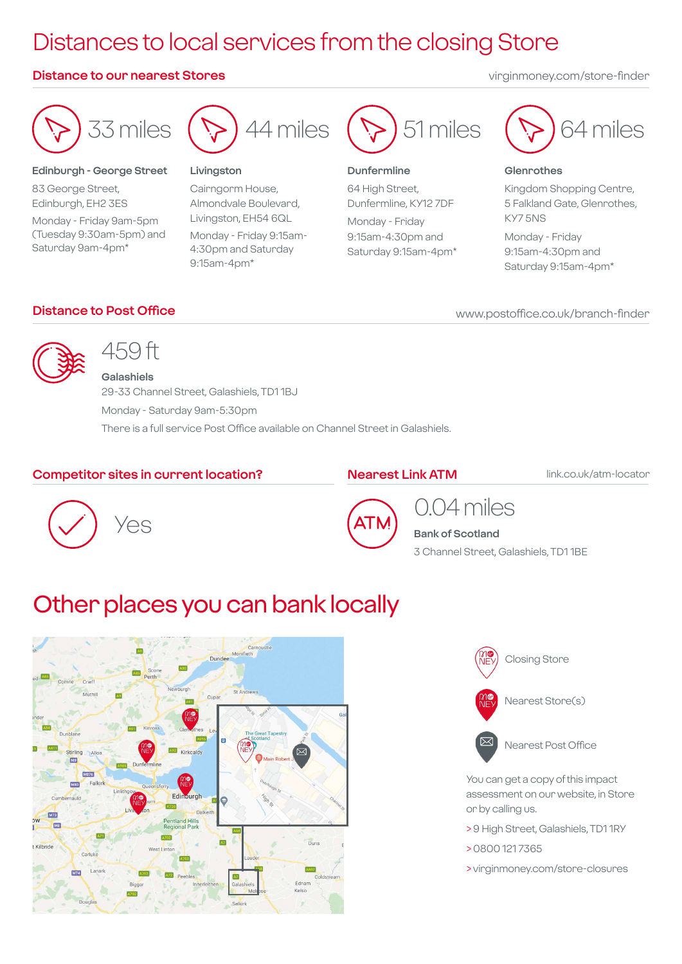# Distances to local services from the closing Store

#### **Distance to our nearest Stores** virginmoney.com/store-finder



#### **Edinburgh - George Street**

83 George Street, Edinburgh, EH2 3ES Monday - Friday 9am-5pm (Tuesday 9:30am-5pm) and Saturday 9am-4pm\*



#### **Livingston**

Cairngorm House, Almondvale Boulevard, Livingston, EH54 6QL Monday - Friday 9:15am-4:30pm and Saturday 9:15am-4pm\*



#### **Dunfermline**

64 High Street, Dunfermline, KY12 7DF

Monday - Friday 9:15am-4:30pm and Saturday 9:15am-4pm\*



#### **Glenrothes**

Kingdom Shopping Centre, 5 Falkland Gate, Glenrothes, KY7 5NS

Monday - Friday 9:15am-4:30pm and Saturday 9:15am-4pm\*

#### **Distance to Post Office**

www.postoffice.co.uk/branch-finder



# 459 ft

**Galashiels** 29-33 Channel Street, Galashiels, TD1 1BJ Monday - Saturday 9am-5:30pm There is a full service Post Office available on Channel Street in Galashiels.

#### **Competitor sites in current location?**

#### **Nearest Link ATM**

link.co.uk/atm-locator





### 0.04 miles **Bank of Scotland**

3 Channel Street, Galashiels, TD1 1BE

## Other places you can bank locally







Nearest Post Office

You can get a copy of this impact assessment on our website, in Store or by calling us.

- > 9 High Street, Galashiels, TD1 1RY
- > 0800 121 7365
- > virginmoney.com/store-closures